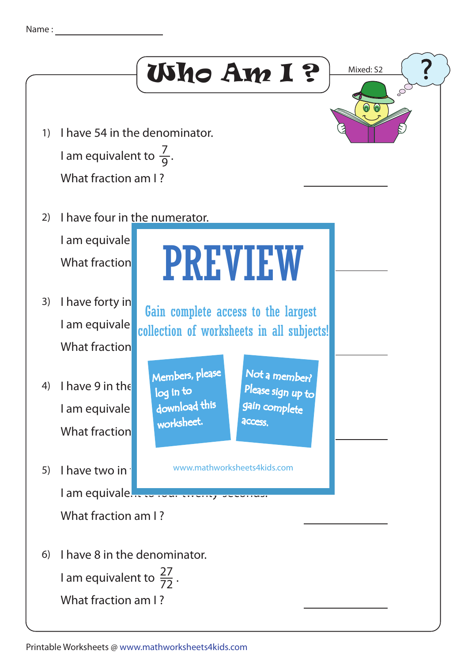